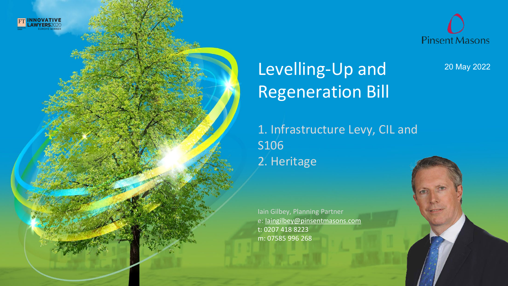



20 May 2022

## Levelling-Up and Regeneration Bill

**Pinsent Masons** A purpose-led professional services business with law at the core

1. Infrastructure Levy, CIL and S106 2. Heritage

Iain Gilbey, Planning Partner e: [Iaingilbey@pinsentmasons.com](mailto:Richard.ford@pinsentmasons.com) t: 0207 418 8223 m: 07585 996 268

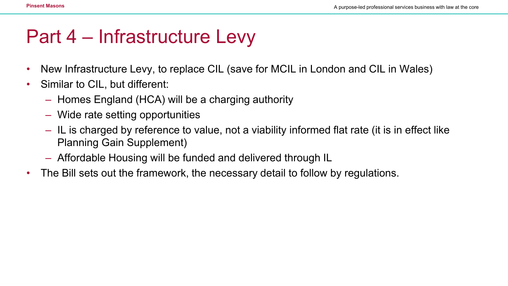### Part 4 – Infrastructure Levy

- New Infrastructure Levy, to replace CIL (save for MCIL in London and CIL in Wales)
- Similar to CIL, but different:
	- Homes England (HCA) will be a charging authority
	- Wide rate setting opportunities
	- IL is charged by reference to value, not a viability informed flat rate (it is in effect like Planning Gain Supplement)
	- Affordable Housing will be funded and delivered through IL
- The Bill sets out the framework, the necessary detail to follow by regulations.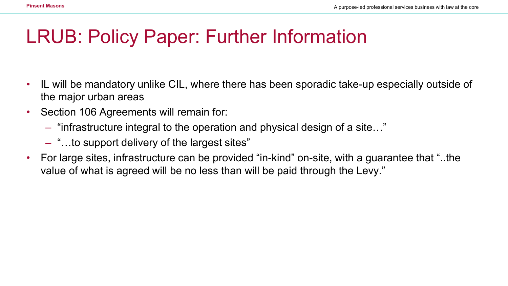## LRUB: Policy Paper: Further Information

- IL will be mandatory unlike CIL, where there has been sporadic take-up especially outside of the major urban areas
- Section 106 Agreements will remain for:
	- "infrastructure integral to the operation and physical design of a site…"
	- "…to support delivery of the largest sites"
- For large sites, infrastructure can be provided "in-kind" on-site, with a guarantee that "..the value of what is agreed will be no less than will be paid through the Levy."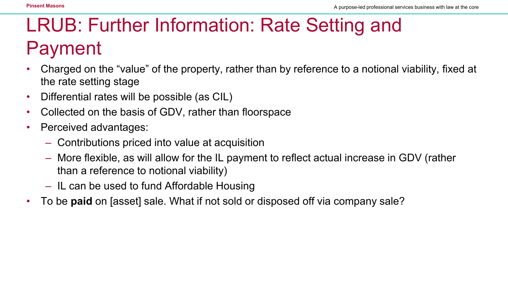# LRUB: Further Information: Rate Setting and Payment

- Charged on the "value" of the property, rather than by reference to a notional viability, fixed at the rate setting stage
- Differential rates will be possible (as CIL)
- Collected on the basis of GDV, rather than floorspace
- Perceived advantages:
	- Contributions priced into value at acquisition
	- More flexible, as will allow for the IL payment to reflect actual increase in GDV (rather than a reference to notional viability)
	- IL can be used to fund Affordable Housing
- To be **paid** on [asset] sale. What if not sold or disposed off via company sale?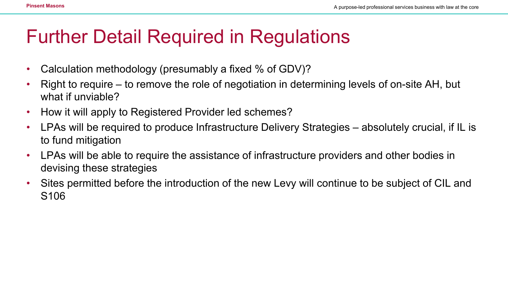### Further Detail Required in Regulations

- Calculation methodology (presumably a fixed % of GDV)?
- Right to require to remove the role of negotiation in determining levels of on-site AH, but what if unviable?
- How it will apply to Registered Provider led schemes?
- LPAs will be required to produce Infrastructure Delivery Strategies absolutely crucial, if IL is to fund mitigation
- LPAs will be able to require the assistance of infrastructure providers and other bodies in devising these strategies
- Sites permitted before the introduction of the new Levy will continue to be subject of CIL and S106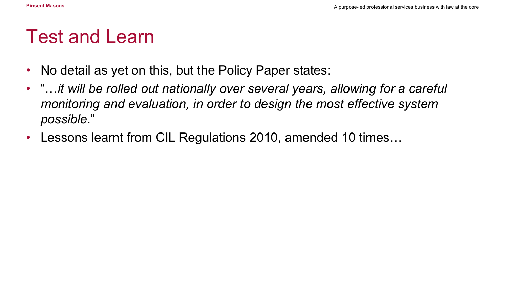#### Test and Learn

- No detail as yet on this, but the Policy Paper states:
- "…*it will be rolled out nationally over several years, allowing for a careful monitoring and evaluation, in order to design the most effective system possible*."
- Lessons learnt from CIL Regulations 2010, amended 10 times…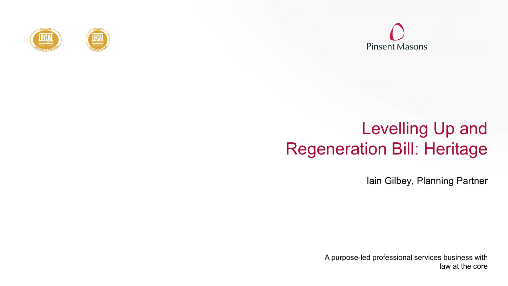





#### Levelling Up and Regeneration Bill: Heritage

Iain Gilbey, Planning Partner

A purpose-led professional services business with law at the core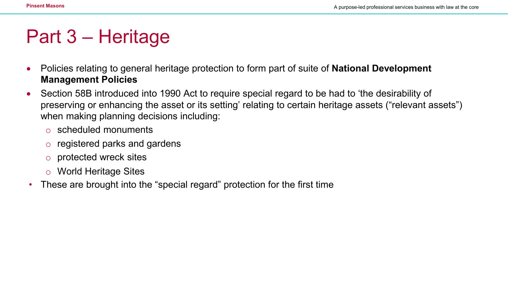## Part 3 – Heritage

- Policies relating to general heritage protection to form part of suite of **National Development Management Policies**
- Section 58B introduced into 1990 Act to require special regard to be had to 'the desirability of preserving or enhancing the asset or its setting' relating to certain heritage assets ("relevant assets") when making planning decisions including:
	- o scheduled monuments
	- o registered parks and gardens
	- o protected wreck sites
	- o World Heritage Sites
- These are brought into the "special regard" protection for the first time